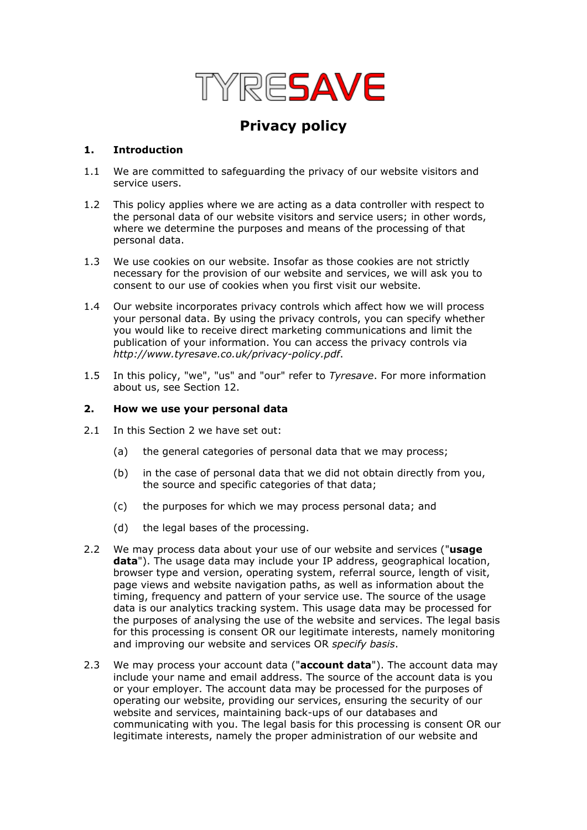

# **Privacy policy**

## **1. Introduction**

- 1.1 We are committed to safeguarding the privacy of our website visitors and service users.
- 1.2 This policy applies where we are acting as a data controller with respect to the personal data of our website visitors and service users; in other words, where we determine the purposes and means of the processing of that personal data.
- 1.3 We use cookies on our website. Insofar as those cookies are not strictly necessary for the provision of our website and services, we will ask you to consent to our use of cookies when you first visit our website.
- 1.4 Our website incorporates privacy controls which affect how we will process your personal data. By using the privacy controls, you can specify whether you would like to receive direct marketing communications and limit the publication of your information. You can access the privacy controls via *http://www.tyresave.co.uk/privacy-policy.pdf*.
- 1.5 In this policy, "we", "us" and "our" refer to *Tyresave*. For more information about us, see Section 12.

#### **2. How we use your personal data**

- 2.1 In this Section 2 we have set out:
	- (a) the general categories of personal data that we may process;
	- (b) in the case of personal data that we did not obtain directly from you, the source and specific categories of that data;
	- (c) the purposes for which we may process personal data; and
	- (d) the legal bases of the processing.
- 2.2 We may process data about your use of our website and services ("**usage data**"). The usage data may include your IP address, geographical location, browser type and version, operating system, referral source, length of visit, page views and website navigation paths, as well as information about the timing, frequency and pattern of your service use. The source of the usage data is our analytics tracking system. This usage data may be processed for the purposes of analysing the use of the website and services. The legal basis for this processing is consent OR our legitimate interests, namely monitoring and improving our website and services OR *specify basis*.
- 2.3 We may process your account data ("**account data**"). The account data may include your name and email address. The source of the account data is you or your employer. The account data may be processed for the purposes of operating our website, providing our services, ensuring the security of our website and services, maintaining back-ups of our databases and communicating with you. The legal basis for this processing is consent OR our legitimate interests, namely the proper administration of our website and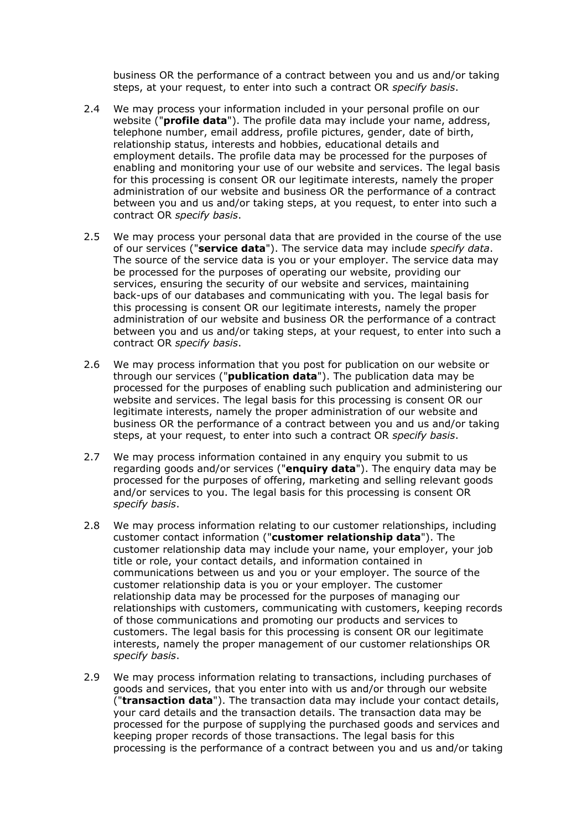business OR the performance of a contract between you and us and/or taking steps, at your request, to enter into such a contract OR *specify basis*.

- 2.4 We may process your information included in your personal profile on our website ("**profile data**"). The profile data may include your name, address, telephone number, email address, profile pictures, gender, date of birth, relationship status, interests and hobbies, educational details and employment details. The profile data may be processed for the purposes of enabling and monitoring your use of our website and services. The legal basis for this processing is consent OR our legitimate interests, namely the proper administration of our website and business OR the performance of a contract between you and us and/or taking steps, at you request, to enter into such a contract OR *specify basis*.
- 2.5 We may process your personal data that are provided in the course of the use of our services ("**service data**"). The service data may include *specify data*. The source of the service data is you or your employer. The service data may be processed for the purposes of operating our website, providing our services, ensuring the security of our website and services, maintaining back-ups of our databases and communicating with you. The legal basis for this processing is consent OR our legitimate interests, namely the proper administration of our website and business OR the performance of a contract between you and us and/or taking steps, at your request, to enter into such a contract OR *specify basis*.
- 2.6 We may process information that you post for publication on our website or through our services ("**publication data**"). The publication data may be processed for the purposes of enabling such publication and administering our website and services. The legal basis for this processing is consent OR our legitimate interests, namely the proper administration of our website and business OR the performance of a contract between you and us and/or taking steps, at your request, to enter into such a contract OR *specify basis*.
- 2.7 We may process information contained in any enquiry you submit to us regarding goods and/or services ("**enquiry data**"). The enquiry data may be processed for the purposes of offering, marketing and selling relevant goods and/or services to you. The legal basis for this processing is consent OR *specify basis*.
- 2.8 We may process information relating to our customer relationships, including customer contact information ("**customer relationship data**"). The customer relationship data may include your name, your employer, your job title or role, your contact details, and information contained in communications between us and you or your employer. The source of the customer relationship data is you or your employer. The customer relationship data may be processed for the purposes of managing our relationships with customers, communicating with customers, keeping records of those communications and promoting our products and services to customers. The legal basis for this processing is consent OR our legitimate interests, namely the proper management of our customer relationships OR *specify basis*.
- 2.9 We may process information relating to transactions, including purchases of goods and services, that you enter into with us and/or through our website ("**transaction data**"). The transaction data may include your contact details, your card details and the transaction details. The transaction data may be processed for the purpose of supplying the purchased goods and services and keeping proper records of those transactions. The legal basis for this processing is the performance of a contract between you and us and/or taking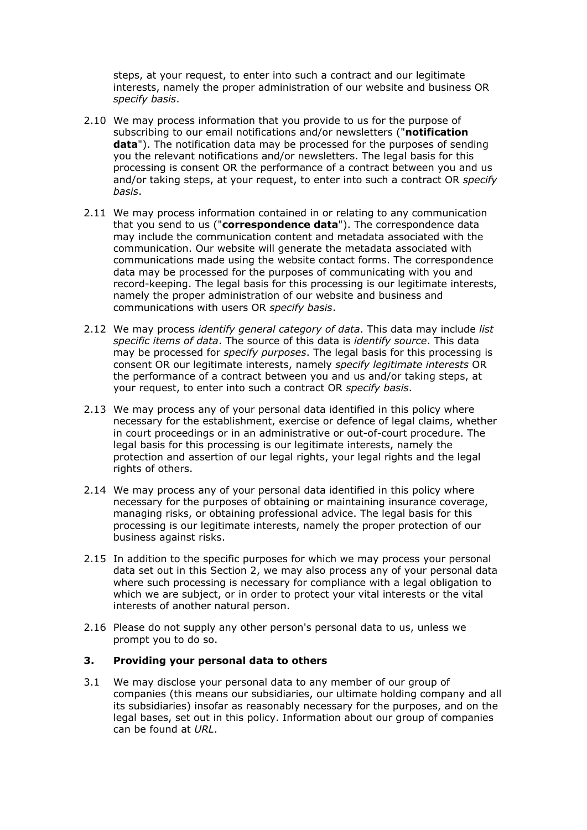steps, at your request, to enter into such a contract and our legitimate interests, namely the proper administration of our website and business OR *specify basis*.

- 2.10 We may process information that you provide to us for the purpose of subscribing to our email notifications and/or newsletters ("**notification data**"). The notification data may be processed for the purposes of sending you the relevant notifications and/or newsletters. The legal basis for this processing is consent OR the performance of a contract between you and us and/or taking steps, at your request, to enter into such a contract OR *specify basis*.
- 2.11 We may process information contained in or relating to any communication that you send to us ("**correspondence data**"). The correspondence data may include the communication content and metadata associated with the communication. Our website will generate the metadata associated with communications made using the website contact forms. The correspondence data may be processed for the purposes of communicating with you and record-keeping. The legal basis for this processing is our legitimate interests, namely the proper administration of our website and business and communications with users OR *specify basis*.
- 2.12 We may process *identify general category of data*. This data may include *list specific items of data*. The source of this data is *identify source*. This data may be processed for *specify purposes*. The legal basis for this processing is consent OR our legitimate interests, namely *specify legitimate interests* OR the performance of a contract between you and us and/or taking steps, at your request, to enter into such a contract OR *specify basis*.
- 2.13 We may process any of your personal data identified in this policy where necessary for the establishment, exercise or defence of legal claims, whether in court proceedings or in an administrative or out-of-court procedure. The legal basis for this processing is our legitimate interests, namely the protection and assertion of our legal rights, your legal rights and the legal rights of others.
- 2.14 We may process any of your personal data identified in this policy where necessary for the purposes of obtaining or maintaining insurance coverage, managing risks, or obtaining professional advice. The legal basis for this processing is our legitimate interests, namely the proper protection of our business against risks.
- 2.15 In addition to the specific purposes for which we may process your personal data set out in this Section 2, we may also process any of your personal data where such processing is necessary for compliance with a legal obligation to which we are subject, or in order to protect your vital interests or the vital interests of another natural person.
- 2.16 Please do not supply any other person's personal data to us, unless we prompt you to do so.

## **3. Providing your personal data to others**

3.1 We may disclose your personal data to any member of our group of companies (this means our subsidiaries, our ultimate holding company and all its subsidiaries) insofar as reasonably necessary for the purposes, and on the legal bases, set out in this policy. Information about our group of companies can be found at *URL*.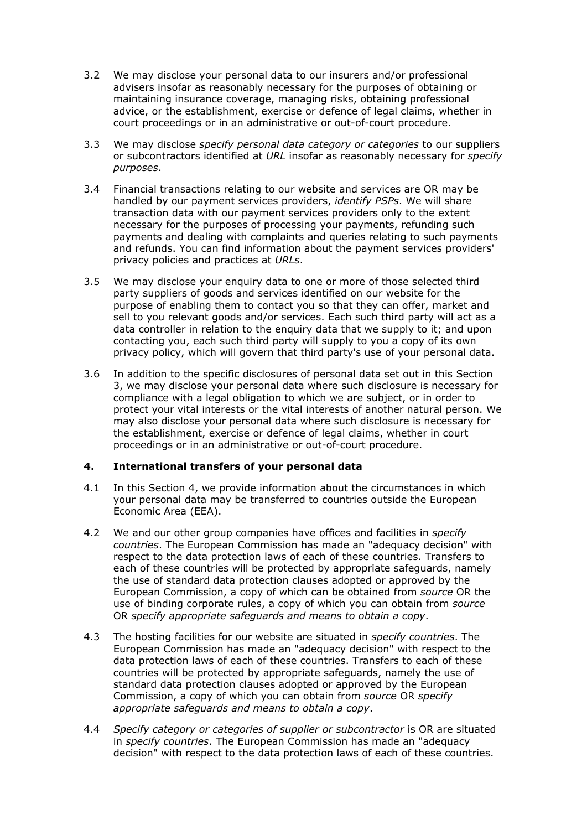- 3.2 We may disclose your personal data to our insurers and/or professional advisers insofar as reasonably necessary for the purposes of obtaining or maintaining insurance coverage, managing risks, obtaining professional advice, or the establishment, exercise or defence of legal claims, whether in court proceedings or in an administrative or out-of-court procedure.
- 3.3 We may disclose *specify personal data category or categories* to our suppliers or subcontractors identified at *URL* insofar as reasonably necessary for *specify purposes*.
- 3.4 Financial transactions relating to our website and services are OR may be handled by our payment services providers, *identify PSPs*. We will share transaction data with our payment services providers only to the extent necessary for the purposes of processing your payments, refunding such payments and dealing with complaints and queries relating to such payments and refunds. You can find information about the payment services providers' privacy policies and practices at *URLs*.
- 3.5 We may disclose your enquiry data to one or more of those selected third party suppliers of goods and services identified on our website for the purpose of enabling them to contact you so that they can offer, market and sell to you relevant goods and/or services. Each such third party will act as a data controller in relation to the enquiry data that we supply to it; and upon contacting you, each such third party will supply to you a copy of its own privacy policy, which will govern that third party's use of your personal data.
- 3.6 In addition to the specific disclosures of personal data set out in this Section 3, we may disclose your personal data where such disclosure is necessary for compliance with a legal obligation to which we are subject, or in order to protect your vital interests or the vital interests of another natural person. We may also disclose your personal data where such disclosure is necessary for the establishment, exercise or defence of legal claims, whether in court proceedings or in an administrative or out-of-court procedure.

#### **4. International transfers of your personal data**

- 4.1 In this Section 4, we provide information about the circumstances in which your personal data may be transferred to countries outside the European Economic Area (EEA).
- 4.2 We and our other group companies have offices and facilities in *specify countries*. The European Commission has made an "adequacy decision" with respect to the data protection laws of each of these countries. Transfers to each of these countries will be protected by appropriate safeguards, namely the use of standard data protection clauses adopted or approved by the European Commission, a copy of which can be obtained from *source* OR the use of binding corporate rules, a copy of which you can obtain from *source* OR *specify appropriate safeguards and means to obtain a copy*.
- 4.3 The hosting facilities for our website are situated in *specify countries*. The European Commission has made an "adequacy decision" with respect to the data protection laws of each of these countries. Transfers to each of these countries will be protected by appropriate safeguards, namely the use of standard data protection clauses adopted or approved by the European Commission, a copy of which you can obtain from *source* OR *specify appropriate safeguards and means to obtain a copy*.
- 4.4 *Specify category or categories of supplier or subcontractor* is OR are situated in *specify countries*. The European Commission has made an "adequacy decision" with respect to the data protection laws of each of these countries.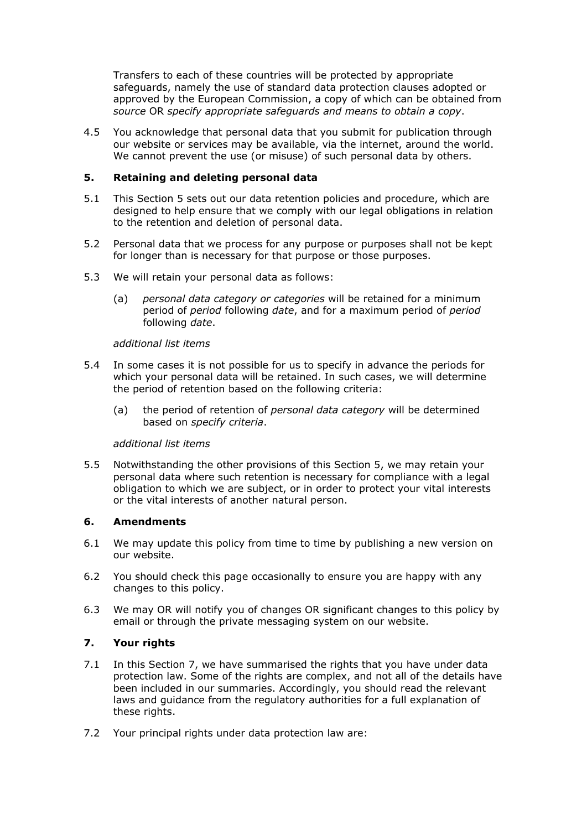Transfers to each of these countries will be protected by appropriate safeguards, namely the use of standard data protection clauses adopted or approved by the European Commission, a copy of which can be obtained from *source* OR *specify appropriate safeguards and means to obtain a copy*.

4.5 You acknowledge that personal data that you submit for publication through our website or services may be available, via the internet, around the world. We cannot prevent the use (or misuse) of such personal data by others.

## **5. Retaining and deleting personal data**

- 5.1 This Section 5 sets out our data retention policies and procedure, which are designed to help ensure that we comply with our legal obligations in relation to the retention and deletion of personal data.
- 5.2 Personal data that we process for any purpose or purposes shall not be kept for longer than is necessary for that purpose or those purposes.
- 5.3 We will retain your personal data as follows:
	- (a) *personal data category or categories* will be retained for a minimum period of *period* following *date*, and for a maximum period of *period* following *date*.

#### *additional list items*

- 5.4 In some cases it is not possible for us to specify in advance the periods for which your personal data will be retained. In such cases, we will determine the period of retention based on the following criteria:
	- (a) the period of retention of *personal data category* will be determined based on *specify criteria*.

#### *additional list items*

5.5 Notwithstanding the other provisions of this Section 5, we may retain your personal data where such retention is necessary for compliance with a legal obligation to which we are subject, or in order to protect your vital interests or the vital interests of another natural person.

#### **6. Amendments**

- 6.1 We may update this policy from time to time by publishing a new version on our website.
- 6.2 You should check this page occasionally to ensure you are happy with any changes to this policy.
- 6.3 We may OR will notify you of changes OR significant changes to this policy by email or through the private messaging system on our website.

## **7. Your rights**

- 7.1 In this Section 7, we have summarised the rights that you have under data protection law. Some of the rights are complex, and not all of the details have been included in our summaries. Accordingly, you should read the relevant laws and guidance from the regulatory authorities for a full explanation of these rights.
- 7.2 Your principal rights under data protection law are: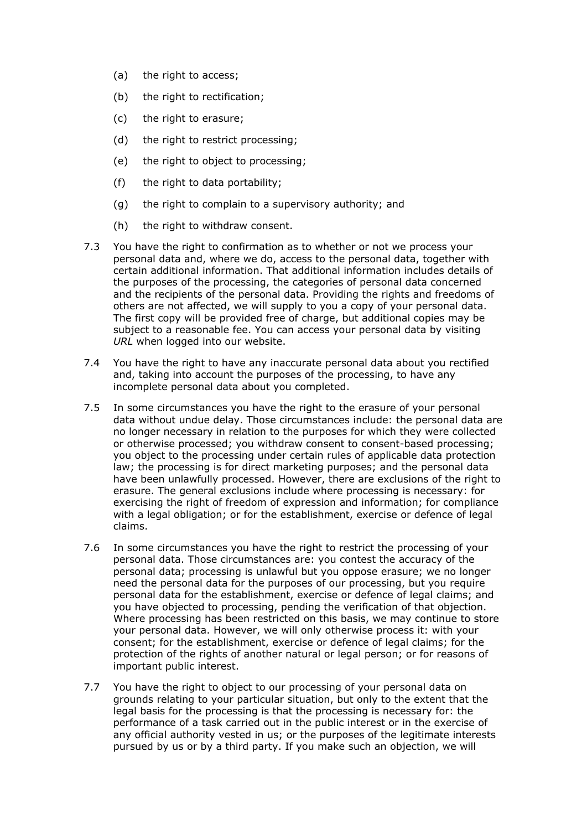- (a) the right to access;
- (b) the right to rectification;
- (c) the right to erasure;
- (d) the right to restrict processing;
- (e) the right to object to processing;
- (f) the right to data portability;
- (g) the right to complain to a supervisory authority; and
- (h) the right to withdraw consent.
- 7.3 You have the right to confirmation as to whether or not we process your personal data and, where we do, access to the personal data, together with certain additional information. That additional information includes details of the purposes of the processing, the categories of personal data concerned and the recipients of the personal data. Providing the rights and freedoms of others are not affected, we will supply to you a copy of your personal data. The first copy will be provided free of charge, but additional copies may be subject to a reasonable fee. You can access your personal data by visiting *URL* when logged into our website.
- 7.4 You have the right to have any inaccurate personal data about you rectified and, taking into account the purposes of the processing, to have any incomplete personal data about you completed.
- 7.5 In some circumstances you have the right to the erasure of your personal data without undue delay. Those circumstances include: the personal data are no longer necessary in relation to the purposes for which they were collected or otherwise processed; you withdraw consent to consent-based processing; you object to the processing under certain rules of applicable data protection law; the processing is for direct marketing purposes; and the personal data have been unlawfully processed. However, there are exclusions of the right to erasure. The general exclusions include where processing is necessary: for exercising the right of freedom of expression and information; for compliance with a legal obligation; or for the establishment, exercise or defence of legal claims.
- 7.6 In some circumstances you have the right to restrict the processing of your personal data. Those circumstances are: you contest the accuracy of the personal data; processing is unlawful but you oppose erasure; we no longer need the personal data for the purposes of our processing, but you require personal data for the establishment, exercise or defence of legal claims; and you have objected to processing, pending the verification of that objection. Where processing has been restricted on this basis, we may continue to store your personal data. However, we will only otherwise process it: with your consent; for the establishment, exercise or defence of legal claims; for the protection of the rights of another natural or legal person; or for reasons of important public interest.
- 7.7 You have the right to object to our processing of your personal data on grounds relating to your particular situation, but only to the extent that the legal basis for the processing is that the processing is necessary for: the performance of a task carried out in the public interest or in the exercise of any official authority vested in us; or the purposes of the legitimate interests pursued by us or by a third party. If you make such an objection, we will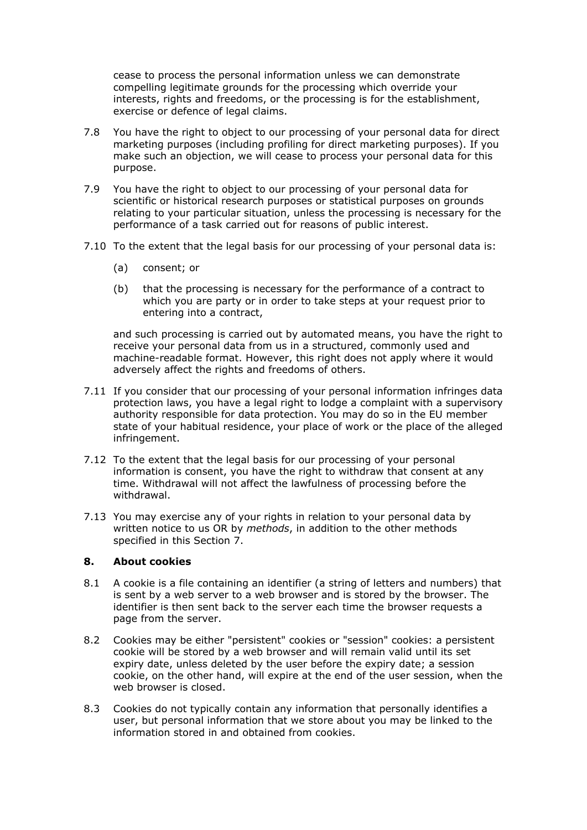cease to process the personal information unless we can demonstrate compelling legitimate grounds for the processing which override your interests, rights and freedoms, or the processing is for the establishment, exercise or defence of legal claims.

- 7.8 You have the right to object to our processing of your personal data for direct marketing purposes (including profiling for direct marketing purposes). If you make such an objection, we will cease to process your personal data for this purpose.
- 7.9 You have the right to object to our processing of your personal data for scientific or historical research purposes or statistical purposes on grounds relating to your particular situation, unless the processing is necessary for the performance of a task carried out for reasons of public interest.
- 7.10 To the extent that the legal basis for our processing of your personal data is:
	- (a) consent; or
	- (b) that the processing is necessary for the performance of a contract to which you are party or in order to take steps at your request prior to entering into a contract,

and such processing is carried out by automated means, you have the right to receive your personal data from us in a structured, commonly used and machine-readable format. However, this right does not apply where it would adversely affect the rights and freedoms of others.

- 7.11 If you consider that our processing of your personal information infringes data protection laws, you have a legal right to lodge a complaint with a supervisory authority responsible for data protection. You may do so in the EU member state of your habitual residence, your place of work or the place of the alleged infringement.
- 7.12 To the extent that the legal basis for our processing of your personal information is consent, you have the right to withdraw that consent at any time. Withdrawal will not affect the lawfulness of processing before the withdrawal.
- 7.13 You may exercise any of your rights in relation to your personal data by written notice to us OR by *methods*, in addition to the other methods specified in this Section 7.

# **8. About cookies**

- 8.1 A cookie is a file containing an identifier (a string of letters and numbers) that is sent by a web server to a web browser and is stored by the browser. The identifier is then sent back to the server each time the browser requests a page from the server.
- 8.2 Cookies may be either "persistent" cookies or "session" cookies: a persistent cookie will be stored by a web browser and will remain valid until its set expiry date, unless deleted by the user before the expiry date; a session cookie, on the other hand, will expire at the end of the user session, when the web browser is closed.
- 8.3 Cookies do not typically contain any information that personally identifies a user, but personal information that we store about you may be linked to the information stored in and obtained from cookies.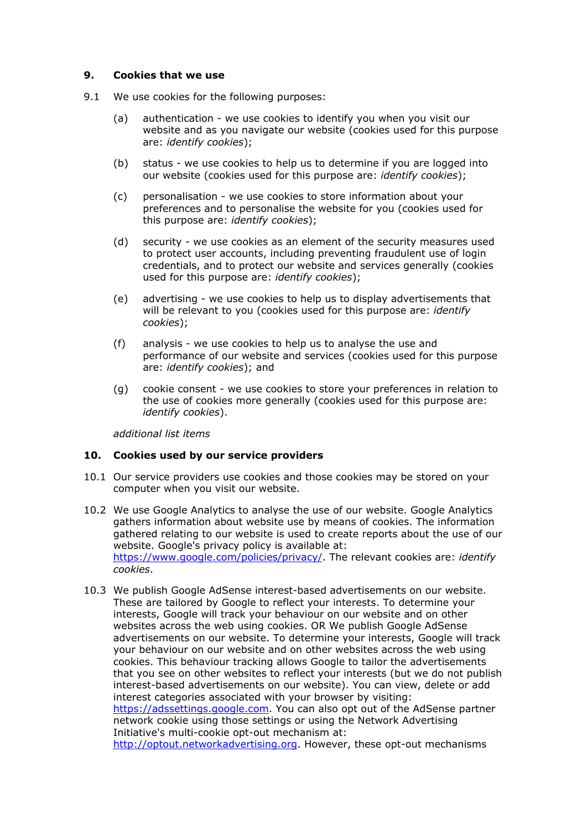#### **9. Cookies that we use**

- 9.1 We use cookies for the following purposes:
	- (a) authentication we use cookies to identify you when you visit our website and as you navigate our website (cookies used for this purpose are: *identify cookies*);
	- (b) status we use cookies to help us to determine if you are logged into our website (cookies used for this purpose are: *identify cookies*);
	- (c) personalisation we use cookies to store information about your preferences and to personalise the website for you (cookies used for this purpose are: *identify cookies*);
	- (d) security we use cookies as an element of the security measures used to protect user accounts, including preventing fraudulent use of login credentials, and to protect our website and services generally (cookies used for this purpose are: *identify cookies*);
	- (e) advertising we use cookies to help us to display advertisements that will be relevant to you (cookies used for this purpose are: *identify cookies*);
	- (f) analysis we use cookies to help us to analyse the use and performance of our website and services (cookies used for this purpose are: *identify cookies*); and
	- (g) cookie consent we use cookies to store your preferences in relation to the use of cookies more generally (cookies used for this purpose are: *identify cookies*).

*additional list items*

#### **10. Cookies used by our service providers**

- 10.1 Our service providers use cookies and those cookies may be stored on your computer when you visit our website.
- 10.2 We use Google Analytics to analyse the use of our website. Google Analytics gathers information about website use by means of cookies. The information gathered relating to our website is used to create reports about the use of our website. Google's privacy policy is available at: <https://www.google.com/policies/privacy/>. The relevant cookies are: *identify cookies*.
- 10.3 We publish Google AdSense interest-based advertisements on our website. These are tailored by Google to reflect your interests. To determine your interests, Google will track your behaviour on our website and on other websites across the web using cookies. OR We publish Google AdSense advertisements on our website. To determine your interests, Google will track your behaviour on our website and on other websites across the web using cookies. This behaviour tracking allows Google to tailor the advertisements that you see on other websites to reflect your interests (but we do not publish interest-based advertisements on our website). You can view, delete or add interest categories associated with your browser by visiting: [https://adssettings.google.com](https://adssettings.google.com/). You can also opt out of the AdSense partner network cookie using those settings or using the Network Advertising Initiative's multi-cookie opt-out mechanism at: [http://optout.networkadvertising.org.](http://optout.networkadvertising.org/) However, these opt-out mechanisms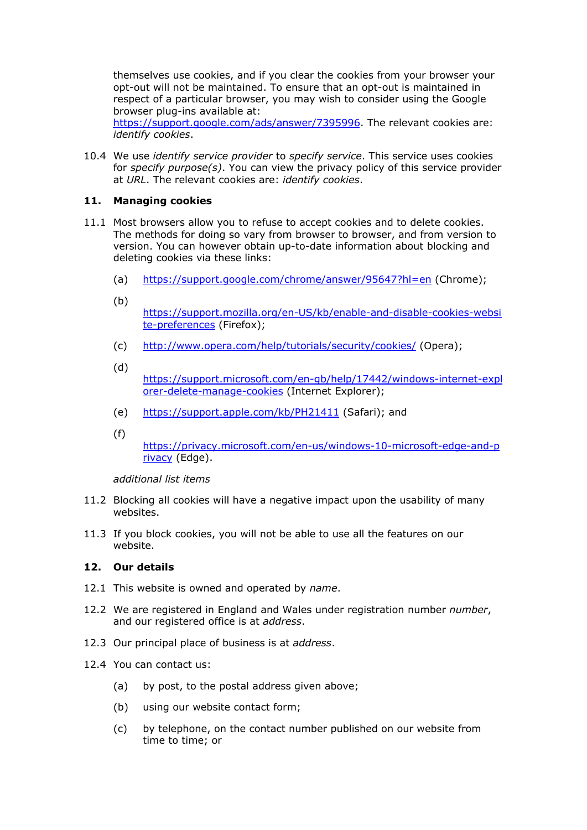themselves use cookies, and if you clear the cookies from your browser your opt-out will not be maintained. To ensure that an opt-out is maintained in respect of a particular browser, you may wish to consider using the Google browser plug-ins available at:

https://support.google.com/ads/answer/7395996</u>. The relevant cookies are: *identify cookies*.

10.4 We use *identify service provider* to *specify service*. This service uses cookies for *specify purpose(s)*. You can view the privacy policy of this service provider at *URL*. The relevant cookies are: *identify cookies*.

## **11. Managing cookies**

- 11.1 Most browsers allow you to refuse to accept cookies and to delete cookies. The methods for doing so vary from browser to browser, and from version to version. You can however obtain up-to-date information about blocking and deleting cookies via these links:
	- (a) <https://support.google.com/chrome/answer/95647?hl=en> (Chrome);
	- (b)

[https://support.mozilla.org/en-US/kb/enable-and-disable-cookies-websi](https://support.mozilla.org/en-US/kb/enable-and-disable-cookies-website-preferences) [te-preferences](https://support.mozilla.org/en-US/kb/enable-and-disable-cookies-website-preferences) (Firefox);

- (c) <http://www.opera.com/help/tutorials/security/cookies/> (Opera);
- (d)

[https://support.microsoft.com/en-gb/help/17442/windows-internet-expl](https://support.microsoft.com/en-gb/help/17442/windows-internet-explorer-delete-manage-cookies) [orer-delete-manage-cookies](https://support.microsoft.com/en-gb/help/17442/windows-internet-explorer-delete-manage-cookies) (Internet Explorer);

- (e) <https://support.apple.com/kb/PH21411> (Safari); and
- (f)

[https://privacy.microsoft.com/en-us/windows-10-microsoft-edge-and-p](https://privacy.microsoft.com/en-us/windows-10-microsoft-edge-and-privacy) [rivacy](https://privacy.microsoft.com/en-us/windows-10-microsoft-edge-and-privacy) (Edge).

*additional list items*

- 11.2 Blocking all cookies will have a negative impact upon the usability of many websites.
- 11.3 If you block cookies, you will not be able to use all the features on our website.

#### **12. Our details**

- 12.1 This website is owned and operated by *name*.
- 12.2 We are registered in England and Wales under registration number *number*, and our registered office is at *address*.
- 12.3 Our principal place of business is at *address*.
- 12.4 You can contact us:
	- (a) by post, to the postal address given above;
	- (b) using our website contact form;
	- (c) by telephone, on the contact number published on our website from time to time; or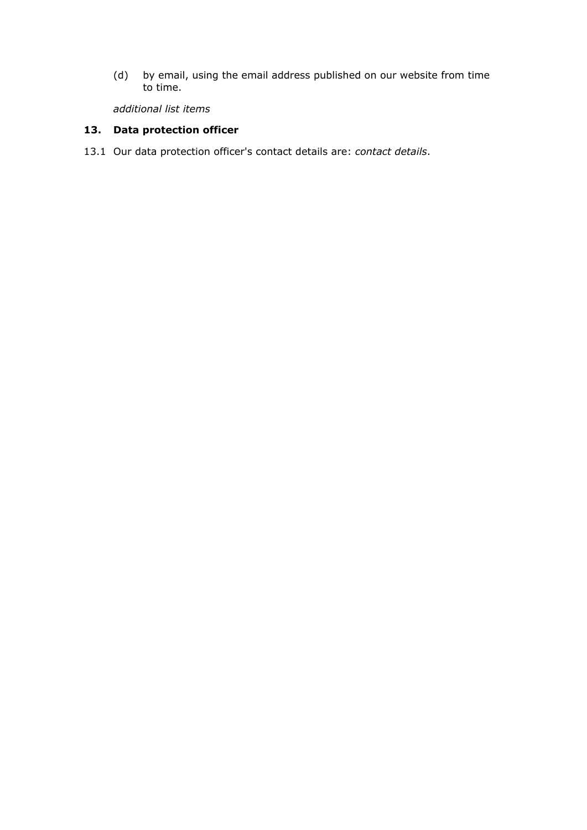(d) by email, using the email address published on our website from time to time.

*additional list items*

# **13. Data protection officer**

13.1 Our data protection officer's contact details are: *contact details*.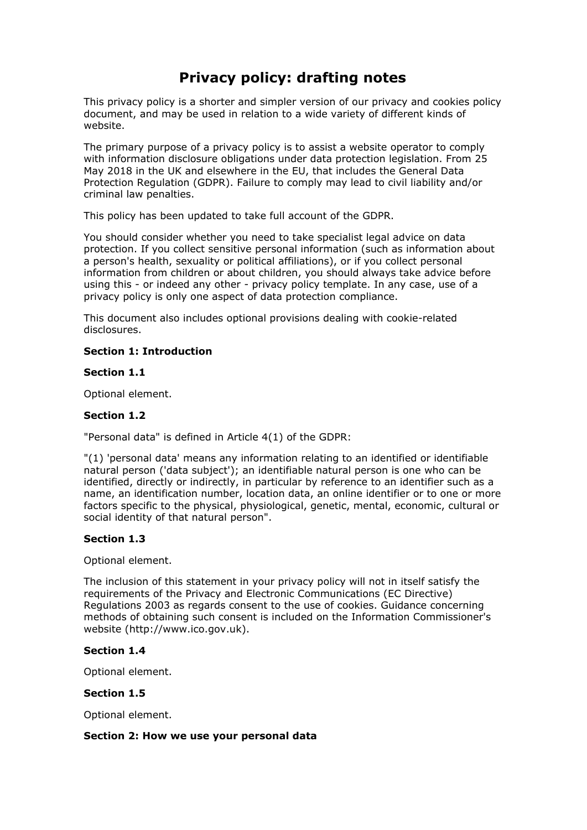# **Privacy policy: drafting notes**

This privacy policy is a shorter and simpler version of our privacy and cookies policy document, and may be used in relation to a wide variety of different kinds of website.

The primary purpose of a privacy policy is to assist a website operator to comply with information disclosure obligations under data protection legislation. From 25 May 2018 in the UK and elsewhere in the EU, that includes the General Data Protection Regulation (GDPR). Failure to comply may lead to civil liability and/or criminal law penalties.

This policy has been updated to take full account of the GDPR.

You should consider whether you need to take specialist legal advice on data protection. If you collect sensitive personal information (such as information about a person's health, sexuality or political affiliations), or if you collect personal information from children or about children, you should always take advice before using this - or indeed any other - privacy policy template. In any case, use of a privacy policy is only one aspect of data protection compliance.

This document also includes optional provisions dealing with cookie-related disclosures.

## **Section 1: Introduction**

## **Section 1.1**

Optional element.

#### **Section 1.2**

"Personal data" is defined in Article 4(1) of the GDPR:

"(1) 'personal data' means any information relating to an identified or identifiable natural person ('data subject'); an identifiable natural person is one who can be identified, directly or indirectly, in particular by reference to an identifier such as a name, an identification number, location data, an online identifier or to one or more factors specific to the physical, physiological, genetic, mental, economic, cultural or social identity of that natural person".

#### **Section 1.3**

Optional element.

The inclusion of this statement in your privacy policy will not in itself satisfy the requirements of the Privacy and Electronic Communications (EC Directive) Regulations 2003 as regards consent to the use of cookies. Guidance concerning methods of obtaining such consent is included on the Information Commissioner's website (http://www.ico.gov.uk).

## **Section 1.4**

Optional element.

## **Section 1.5**

Optional element.

#### **Section 2: How we use your personal data**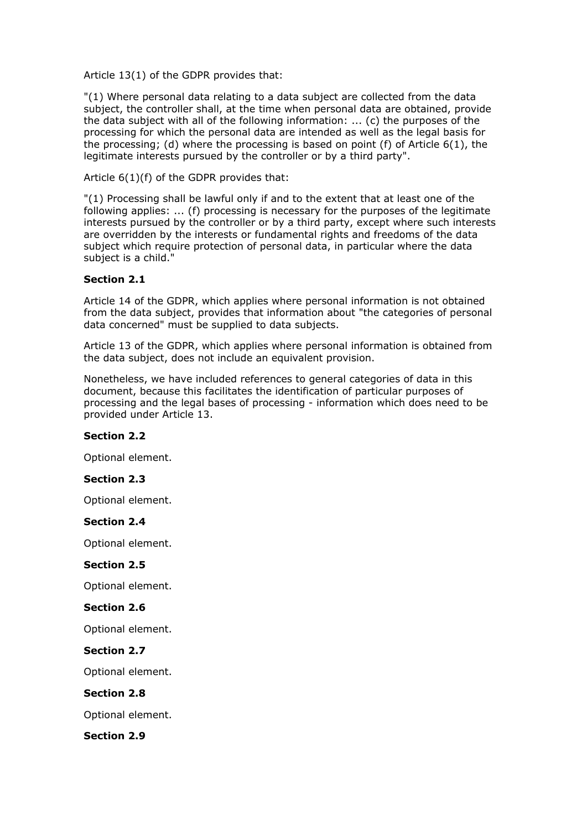Article 13(1) of the GDPR provides that:

"(1) Where personal data relating to a data subject are collected from the data subject, the controller shall, at the time when personal data are obtained, provide the data subject with all of the following information: ... (c) the purposes of the processing for which the personal data are intended as well as the legal basis for the processing; (d) where the processing is based on point (f) of Article 6(1), the legitimate interests pursued by the controller or by a third party".

Article 6(1)(f) of the GDPR provides that:

"(1) Processing shall be lawful only if and to the extent that at least one of the following applies: ... (f) processing is necessary for the purposes of the legitimate interests pursued by the controller or by a third party, except where such interests are overridden by the interests or fundamental rights and freedoms of the data subject which require protection of personal data, in particular where the data subject is a child."

## **Section 2.1**

Article 14 of the GDPR, which applies where personal information is not obtained from the data subject, provides that information about "the categories of personal data concerned" must be supplied to data subjects.

Article 13 of the GDPR, which applies where personal information is obtained from the data subject, does not include an equivalent provision.

Nonetheless, we have included references to general categories of data in this document, because this facilitates the identification of particular purposes of processing and the legal bases of processing - information which does need to be provided under Article 13.

#### **Section 2.2**

Optional element.

# **Section 2.3**

Optional element.

#### **Section 2.4**

Optional element.

#### **Section 2.5**

Optional element.

#### **Section 2.6**

Optional element.

**Section 2.7**

Optional element.

**Section 2.8**

Optional element.

**Section 2.9**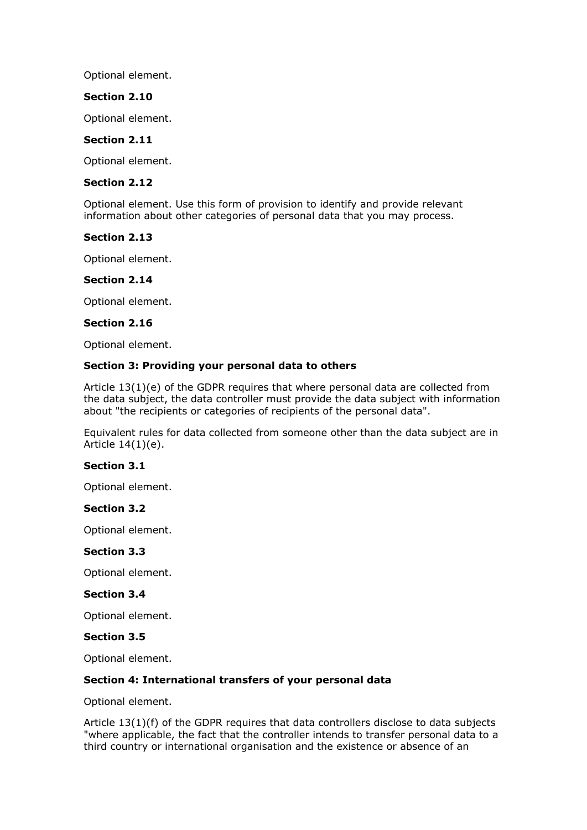Optional element.

## **Section 2.10**

Optional element.

## **Section 2.11**

Optional element.

#### **Section 2.12**

Optional element. Use this form of provision to identify and provide relevant information about other categories of personal data that you may process.

#### **Section 2.13**

Optional element.

#### **Section 2.14**

Optional element.

#### **Section 2.16**

Optional element.

### **Section 3: Providing your personal data to others**

Article 13(1)(e) of the GDPR requires that where personal data are collected from the data subject, the data controller must provide the data subject with information about "the recipients or categories of recipients of the personal data".

Equivalent rules for data collected from someone other than the data subject are in Article 14(1)(e).

#### **Section 3.1**

Optional element.

### **Section 3.2**

Optional element.

#### **Section 3.3**

Optional element.

#### **Section 3.4**

Optional element.

#### **Section 3.5**

Optional element.

#### **Section 4: International transfers of your personal data**

Optional element.

Article 13(1)(f) of the GDPR requires that data controllers disclose to data subjects "where applicable, the fact that the controller intends to transfer personal data to a third country or international organisation and the existence or absence of an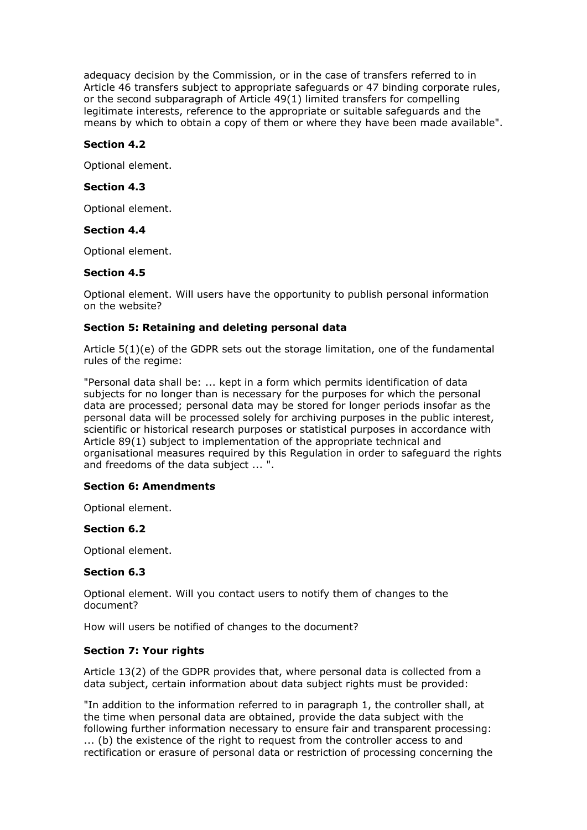adequacy decision by the Commission, or in the case of transfers referred to in Article 46 transfers subject to appropriate safeguards or 47 binding corporate rules, or the second subparagraph of Article 49(1) limited transfers for compelling legitimate interests, reference to the appropriate or suitable safeguards and the means by which to obtain a copy of them or where they have been made available".

## **Section 4.2**

Optional element.

## **Section 4.3**

Optional element.

#### **Section 4.4**

Optional element.

#### **Section 4.5**

Optional element. Will users have the opportunity to publish personal information on the website?

## **Section 5: Retaining and deleting personal data**

Article 5(1)(e) of the GDPR sets out the storage limitation, one of the fundamental rules of the regime:

"Personal data shall be: ... kept in a form which permits identification of data subjects for no longer than is necessary for the purposes for which the personal data are processed; personal data may be stored for longer periods insofar as the personal data will be processed solely for archiving purposes in the public interest, scientific or historical research purposes or statistical purposes in accordance with Article 89(1) subject to implementation of the appropriate technical and organisational measures required by this Regulation in order to safeguard the rights and freedoms of the data subject ... ".

#### **Section 6: Amendments**

Optional element.

#### **Section 6.2**

Optional element.

#### **Section 6.3**

Optional element. Will you contact users to notify them of changes to the document?

How will users be notified of changes to the document?

#### **Section 7: Your rights**

Article 13(2) of the GDPR provides that, where personal data is collected from a data subject, certain information about data subject rights must be provided:

"In addition to the information referred to in paragraph 1, the controller shall, at the time when personal data are obtained, provide the data subject with the following further information necessary to ensure fair and transparent processing: ... (b) the existence of the right to request from the controller access to and rectification or erasure of personal data or restriction of processing concerning the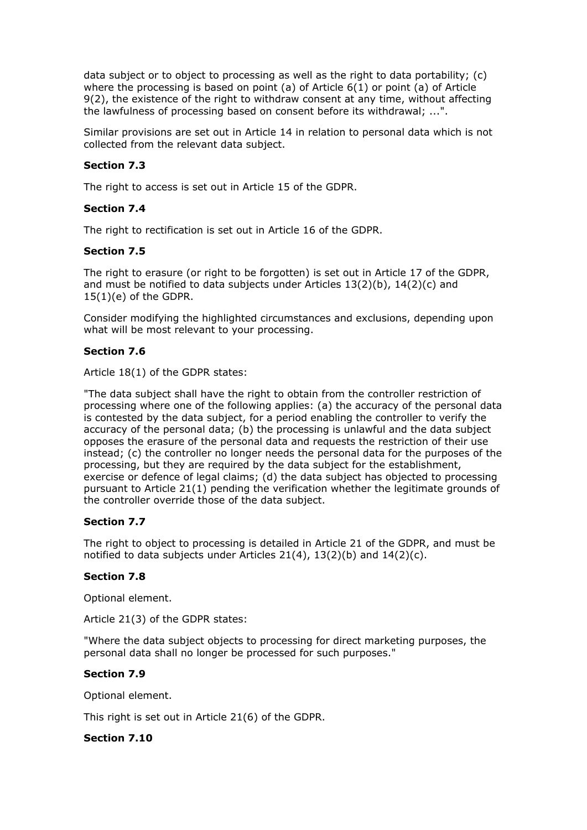data subject or to object to processing as well as the right to data portability; (c) where the processing is based on point (a) of Article  $6(1)$  or point (a) of Article 9(2), the existence of the right to withdraw consent at any time, without affecting the lawfulness of processing based on consent before its withdrawal; ...".

Similar provisions are set out in Article 14 in relation to personal data which is not collected from the relevant data subject.

## **Section 7.3**

The right to access is set out in Article 15 of the GDPR.

#### **Section 7.4**

The right to rectification is set out in Article 16 of the GDPR.

## **Section 7.5**

The right to erasure (or right to be forgotten) is set out in Article 17 of the GDPR, and must be notified to data subjects under Articles 13(2)(b), 14(2)(c) and 15(1)(e) of the GDPR.

Consider modifying the highlighted circumstances and exclusions, depending upon what will be most relevant to your processing.

## **Section 7.6**

Article 18(1) of the GDPR states:

"The data subject shall have the right to obtain from the controller restriction of processing where one of the following applies: (a) the accuracy of the personal data is contested by the data subject, for a period enabling the controller to verify the accuracy of the personal data; (b) the processing is unlawful and the data subject opposes the erasure of the personal data and requests the restriction of their use instead; (c) the controller no longer needs the personal data for the purposes of the processing, but they are required by the data subject for the establishment, exercise or defence of legal claims; (d) the data subject has objected to processing pursuant to Article 21(1) pending the verification whether the legitimate grounds of the controller override those of the data subject.

#### **Section 7.7**

The right to object to processing is detailed in Article 21 of the GDPR, and must be notified to data subjects under Articles  $21(4)$ ,  $13(2)(b)$  and  $14(2)(c)$ .

#### **Section 7.8**

Optional element.

Article 21(3) of the GDPR states:

"Where the data subject objects to processing for direct marketing purposes, the personal data shall no longer be processed for such purposes."

#### **Section 7.9**

Optional element.

This right is set out in Article 21(6) of the GDPR.

## **Section 7.10**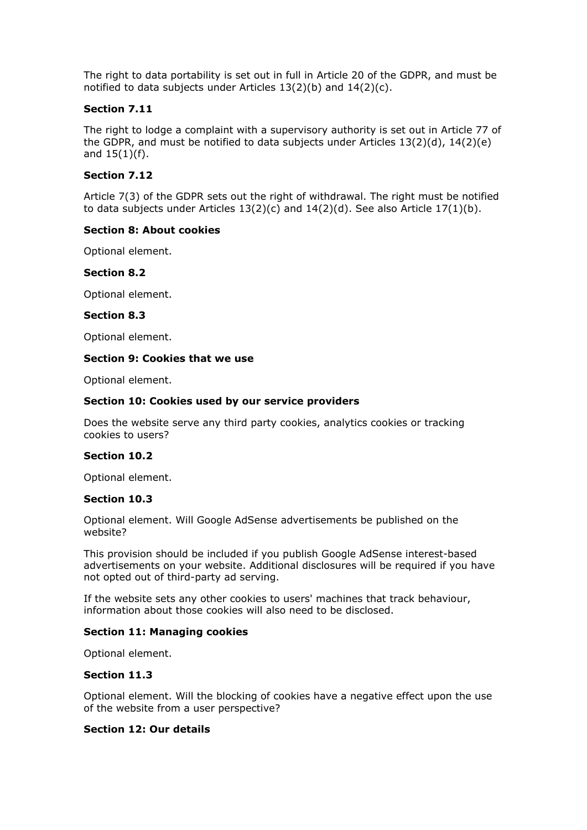The right to data portability is set out in full in Article 20 of the GDPR, and must be notified to data subjects under Articles 13(2)(b) and 14(2)(c).

## **Section 7.11**

The right to lodge a complaint with a supervisory authority is set out in Article 77 of the GDPR, and must be notified to data subjects under Articles 13(2)(d), 14(2)(e) and  $15(1)(f)$ .

## **Section 7.12**

Article 7(3) of the GDPR sets out the right of withdrawal. The right must be notified to data subjects under Articles  $13(2)(c)$  and  $14(2)(d)$ . See also Article  $17(1)(b)$ .

## **Section 8: About cookies**

Optional element.

#### **Section 8.2**

Optional element.

#### **Section 8.3**

Optional element.

#### **Section 9: Cookies that we use**

Optional element.

#### **Section 10: Cookies used by our service providers**

Does the website serve any third party cookies, analytics cookies or tracking cookies to users?

#### **Section 10.2**

Optional element.

#### **Section 10.3**

Optional element. Will Google AdSense advertisements be published on the website?

This provision should be included if you publish Google AdSense interest-based advertisements on your website. Additional disclosures will be required if you have not opted out of third-party ad serving.

If the website sets any other cookies to users' machines that track behaviour, information about those cookies will also need to be disclosed.

#### **Section 11: Managing cookies**

Optional element.

#### **Section 11.3**

Optional element. Will the blocking of cookies have a negative effect upon the use of the website from a user perspective?

## **Section 12: Our details**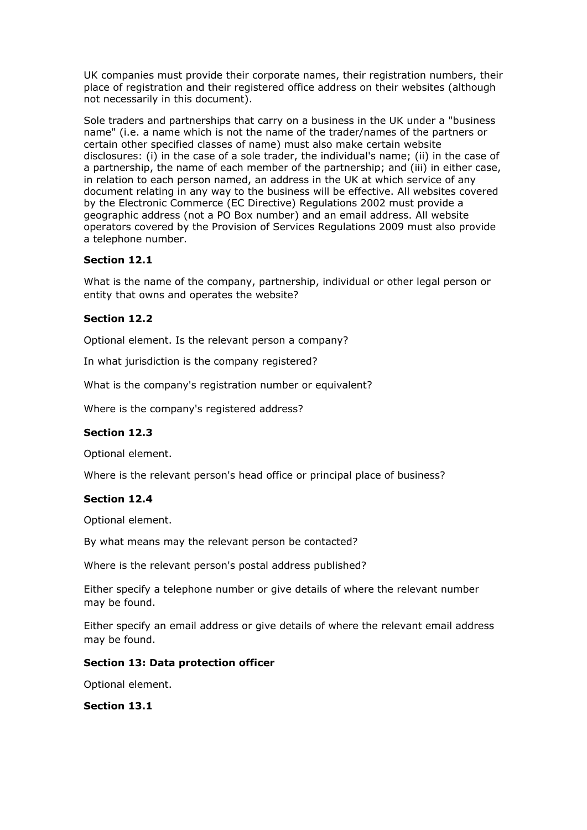UK companies must provide their corporate names, their registration numbers, their place of registration and their registered office address on their websites (although not necessarily in this document).

Sole traders and partnerships that carry on a business in the UK under a "business name" (i.e. a name which is not the name of the trader/names of the partners or certain other specified classes of name) must also make certain website disclosures: (i) in the case of a sole trader, the individual's name; (ii) in the case of a partnership, the name of each member of the partnership; and (iii) in either case, in relation to each person named, an address in the UK at which service of any document relating in any way to the business will be effective. All websites covered by the Electronic Commerce (EC Directive) Regulations 2002 must provide a geographic address (not a PO Box number) and an email address. All website operators covered by the Provision of Services Regulations 2009 must also provide a telephone number.

# **Section 12.1**

What is the name of the company, partnership, individual or other legal person or entity that owns and operates the website?

# **Section 12.2**

Optional element. Is the relevant person a company?

In what jurisdiction is the company registered?

What is the company's registration number or equivalent?

Where is the company's registered address?

# **Section 12.3**

Optional element.

Where is the relevant person's head office or principal place of business?

# **Section 12.4**

Optional element.

By what means may the relevant person be contacted?

Where is the relevant person's postal address published?

Either specify a telephone number or give details of where the relevant number may be found.

Either specify an email address or give details of where the relevant email address may be found.

# **Section 13: Data protection officer**

Optional element.

**Section 13.1**